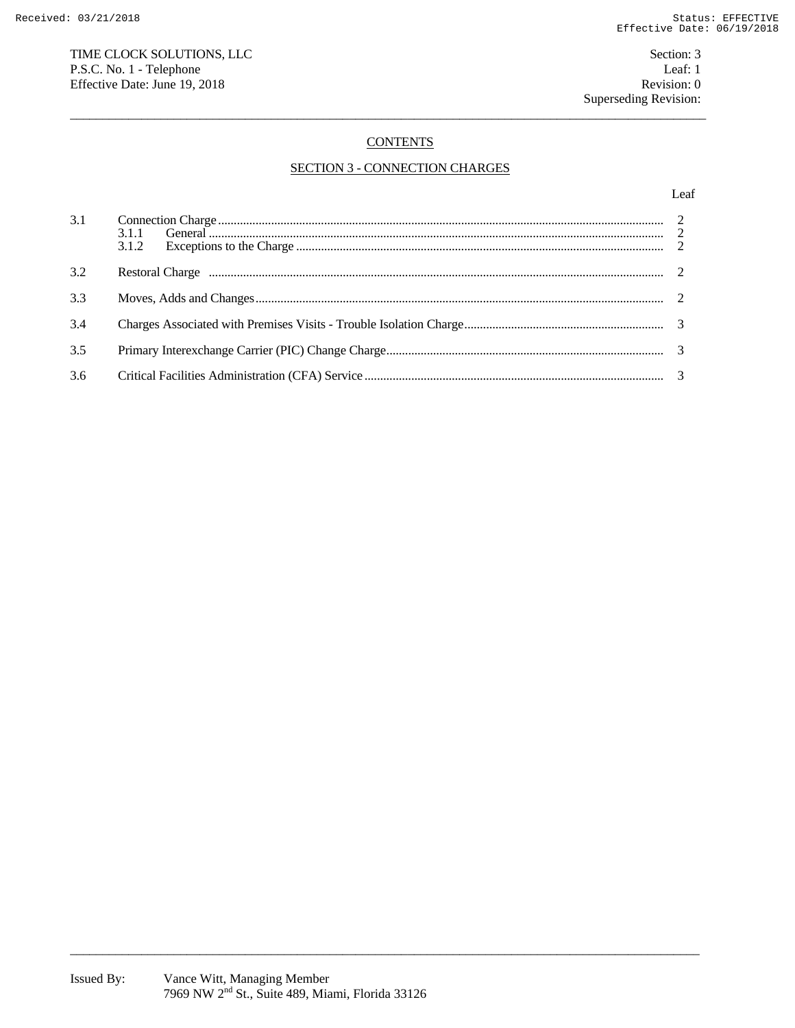# TIME CLOCK SOLUTIONS, LLC P.S.C. No. 1 - Telephone Effective Date: June 19, 2018

# **CONTENTS**

# **SECTION 3 - CONNECTION CHARGES**

### Leaf

| 3.1 | 3.1.2 |  |
|-----|-------|--|
| 3.2 |       |  |
| 3.3 |       |  |
| 3.4 |       |  |
| 3.5 |       |  |
| 3.6 |       |  |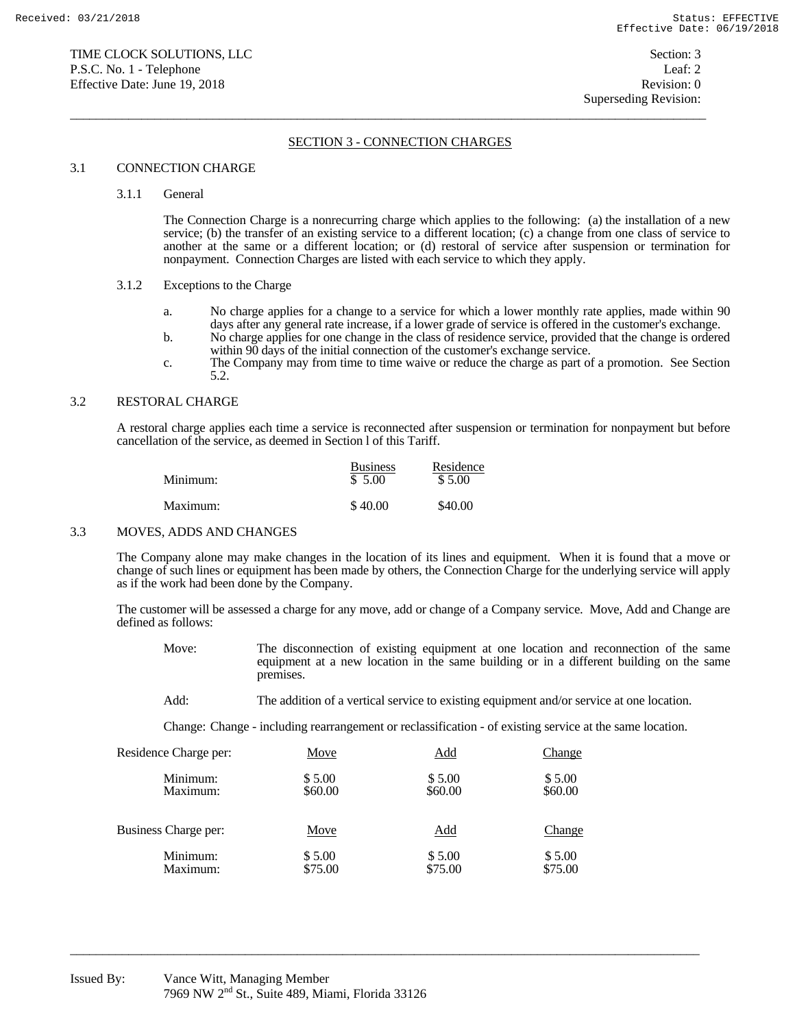# SECTION 3 - CONNECTION CHARGES

 $\overline{a}$  , and the state of the state of the state of the state of the state of the state of the state of the state of the state of the state of the state of the state of the state of the state of the state of the state o

### 3.1 CONNECTION CHARGE

#### 3.1.1 General

 The Connection Charge is a nonrecurring charge which applies to the following: (a) the installation of a new service; (b) the transfer of an existing service to a different location; (c) a change from one class of service to another at the same or a different location; or (d) restoral of service after suspension or termination for nonpayment. Connection Charges are listed with each service to which they apply.

# 3.1.2 Exceptions to the Charge

- a. No charge applies for a change to a service for which a lower monthly rate applies, made within 90 days after any general rate increase, if a lower grade of service is offered in the customer's exchange.
- b. No charge applies for one change in the class of residence service, provided that the change is ordered within 90 days of the initial connection of the customer's exchange service.
- c. The Company may from time to time waive or reduce the charge as part of a promotion. See Section 5.2.

## 3.2 RESTORAL CHARGE

 A restoral charge applies each time a service is reconnected after suspension or termination for nonpayment but before cancellation of the service, as deemed in Section l of this Tariff.

| Minimum: | <b>Business</b><br>\$5.00 | Residence<br>\$5.00 |
|----------|---------------------------|---------------------|
| Maximum: | \$40.00                   | \$40.00             |

#### 3.3 MOVES, ADDS AND CHANGES

 The Company alone may make changes in the location of its lines and equipment. When it is found that a move or change of such lines or equipment has been made by others, the Connection Charge for the underlying service will apply as if the work had been done by the Company.

 The customer will be assessed a charge for any move, add or change of a Company service. Move, Add and Change are defined as follows:

- Move: The disconnection of existing equipment at one location and reconnection of the same equipment at a new location in the same building or in a different building on the same premises.
- Add: The addition of a vertical service to existing equipment and/or service at one location.

Change: Change - including rearrangement or reclassification - of existing service at the same location.

| Residence Charge per: | Move    | <u>Add</u> | <b>Change</b> |
|-----------------------|---------|------------|---------------|
| Minimum:              | \$5.00  | \$5.00     | \$5.00        |
| Maximum:              | \$60.00 | \$60.00    | \$60.00       |
| Business Charge per:  | Move    | <b>Add</b> | <b>Change</b> |
| Minimum:              | \$5.00  | \$5.00     | \$5.00        |
| Maximum:              | \$75.00 | \$75.00    | \$75.00       |

 $\overline{a_1}$  ,  $\overline{a_2}$  ,  $\overline{a_3}$  ,  $\overline{a_4}$  ,  $\overline{a_5}$  ,  $\overline{a_6}$  ,  $\overline{a_7}$  ,  $\overline{a_8}$  ,  $\overline{a_9}$  ,  $\overline{a_9}$  ,  $\overline{a_9}$  ,  $\overline{a_9}$  ,  $\overline{a_9}$  ,  $\overline{a_9}$  ,  $\overline{a_9}$  ,  $\overline{a_9}$  ,  $\overline{a_9}$  ,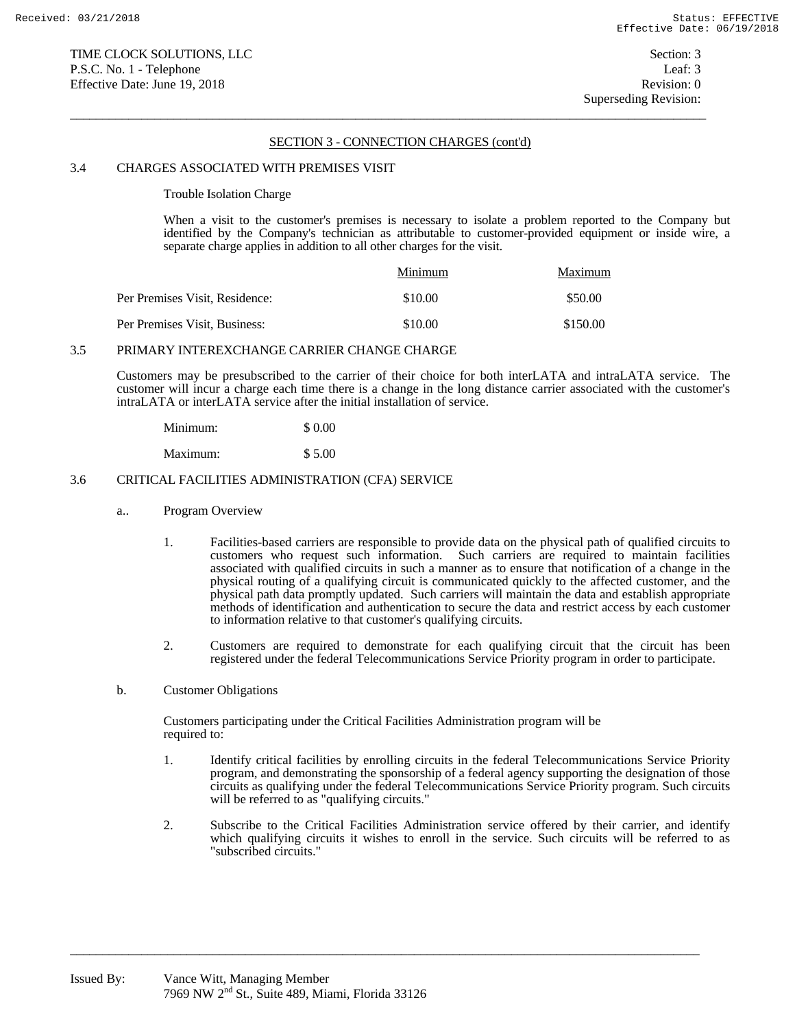# SECTION 3 - CONNECTION CHARGES (cont'd)

 $\overline{a}$  , and the state of the state of the state of the state of the state of the state of the state of the state of the state of the state of the state of the state of the state of the state of the state of the state o

### 3.4 CHARGES ASSOCIATED WITH PREMISES VISIT

Trouble Isolation Charge

 When a visit to the customer's premises is necessary to isolate a problem reported to the Company but identified by the Company's technician as attributable to customer-provided equipment or inside wire, a separate charge applies in addition to all other charges for the visit.

|                                | Minimum | Maximum  |
|--------------------------------|---------|----------|
| Per Premises Visit, Residence: | \$10.00 | \$50.00  |
| Per Premises Visit, Business:  | \$10.00 | \$150.00 |

# 3.5 PRIMARY INTEREXCHANGE CARRIER CHANGE CHARGE

 Customers may be presubscribed to the carrier of their choice for both interLATA and intraLATA service. The customer will incur a charge each time there is a change in the long distance carrier associated with the customer's intraLATA or interLATA service after the initial installation of service.

| Minimum: | \$ 0.00 |
|----------|---------|
| Maximum: | \$5.00  |

### 3.6 CRITICAL FACILITIES ADMINISTRATION (CFA) SERVICE

- a.. Program Overview
	- 1. Facilities-based carriers are responsible to provide data on the physical path of qualified circuits to customers who request such information. Such carriers are required to maintain facilities associated with qualified circuits in such a manner as to ensure that notification of a change in the physical routing of a qualifying circuit is communicated quickly to the affected customer, and the physical path data promptly updated. Such carriers will maintain the data and establish appropriate methods of identification and authentication to secure the data and restrict access by each customer to information relative to that customer's qualifying circuits.
	- 2. Customers are required to demonstrate for each qualifying circuit that the circuit has been registered under the federal Telecommunications Service Priority program in order to participate.
- b. Customer Obligations

Customers participating under the Critical Facilities Administration program will be required to:

 $\overline{a_1}$  ,  $\overline{a_2}$  ,  $\overline{a_3}$  ,  $\overline{a_4}$  ,  $\overline{a_5}$  ,  $\overline{a_6}$  ,  $\overline{a_7}$  ,  $\overline{a_8}$  ,  $\overline{a_9}$  ,  $\overline{a_9}$  ,  $\overline{a_9}$  ,  $\overline{a_9}$  ,  $\overline{a_9}$  ,  $\overline{a_9}$  ,  $\overline{a_9}$  ,  $\overline{a_9}$  ,  $\overline{a_9}$  ,

- 1. Identify critical facilities by enrolling circuits in the federal Telecommunications Service Priority program, and demonstrating the sponsorship of a federal agency supporting the designation of those circuits as qualifying under the federal Telecommunications Service Priority program. Such circuits will be referred to as "qualifying circuits."
- 2. Subscribe to the Critical Facilities Administration service offered by their carrier, and identify which qualifying circuits it wishes to enroll in the service. Such circuits will be referred to as "subscribed circuits."